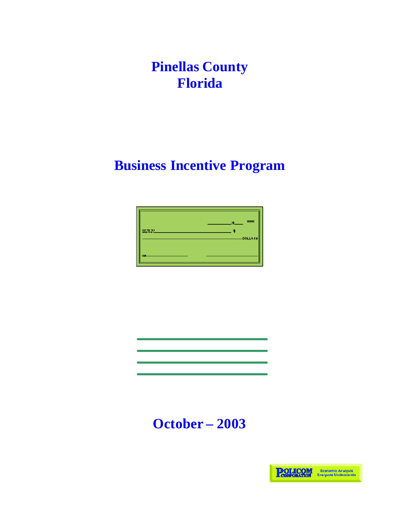**Pinellas County Florida**

## **Business Incentive Program**



# **October – 2003**

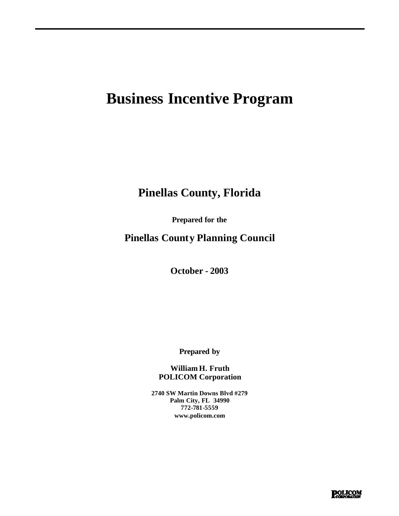## **Business Incentive Program**

### **Pinellas County, Florida**

**Prepared for the**

**Pinellas County Planning Council**

**October - 2003**

**Prepared by**

**William H. Fruth POLICOM Corporation**

**2740 SW Martin Downs Blvd #279 Palm City, FL 34990 772-781-5559 www.policom.com**

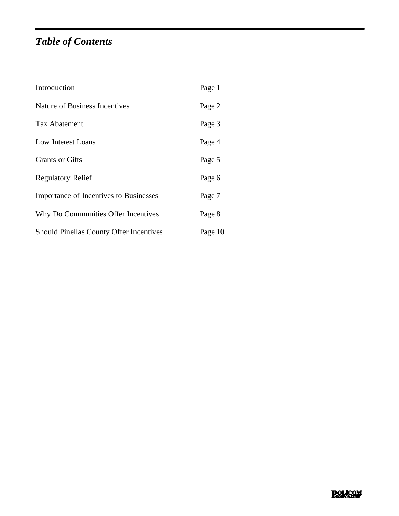### *Table of Contents*

| Introduction                                   | Page 1  |
|------------------------------------------------|---------|
| Nature of Business Incentives                  | Page 2  |
| <b>Tax Abatement</b>                           | Page 3  |
| Low Interest Loans                             | Page 4  |
| <b>Grants or Gifts</b>                         | Page 5  |
| <b>Regulatory Relief</b>                       | Page 6  |
| Importance of Incentives to Businesses         | Page 7  |
| Why Do Communities Offer Incentives            | Page 8  |
| <b>Should Pinellas County Offer Incentives</b> | Page 10 |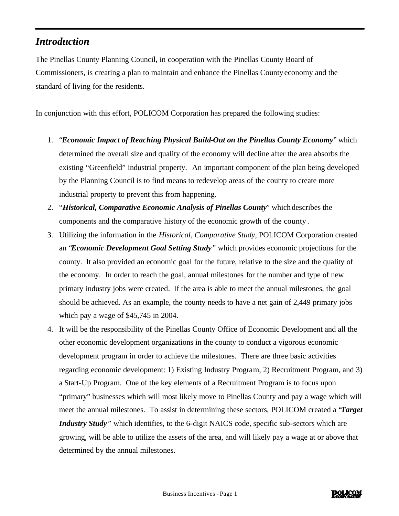#### *Introduction*

The Pinellas County Planning Council, in cooperation with the Pinellas County Board of Commissioners, is creating a plan to maintain and enhance the Pinellas County economy and the standard of living for the residents.

In conjunction with this effort, POLICOM Corporation has prepared the following studies:

- 1. "*Economic Impact of Reaching Physical Build-Out on the Pinellas County Economy*" which determined the overall size and quality of the economy will decline after the area absorbs the existing "Greenfield" industrial property. An important component of the plan being developed by the Planning Council is to find means to redevelop areas of the county to create more industrial property to prevent this from happening.
- 2. "*Historical, Comparative Economic Analysis of Pinellas County*" which describes the components and the comparative history of the economic growth of the county .
- 3. Utilizing the information in the *Historical, Comparative Study*, POLICOM Corporation created an "*Economic Development Goal Setting Study"* which provides economic projections for the county. It also provided an economic goal for the future, relative to the size and the quality of the economy. In order to reach the goal, annual milestones for the number and type of new primary industry jobs were created. If the area is able to meet the annual milestones, the goal should be achieved. As an example, the county needs to have a net gain of 2,449 primary jobs which pay a wage of \$45,745 in 2004.
- 4. It will be the responsibility of the Pinellas County Office of Economic Development and all the other economic development organizations in the county to conduct a vigorous economic development program in order to achieve the milestones. There are three basic activities regarding economic development: 1) Existing Industry Program, 2) Recruitment Program, and 3) a Start-Up Program. One of the key elements of a Recruitment Program is to focus upon "primary" businesses which will most likely move to Pinellas County and pay a wage which will meet the annual milestones. To assist in determining these sectors, POLICOM created a "*Target Industry Study*<sup>*"*</sup> which identifies, to the 6-digit NAICS code, specific sub-sectors which are growing, will be able to utilize the assets of the area, and will likely pay a wage at or above that determined by the annual milestones.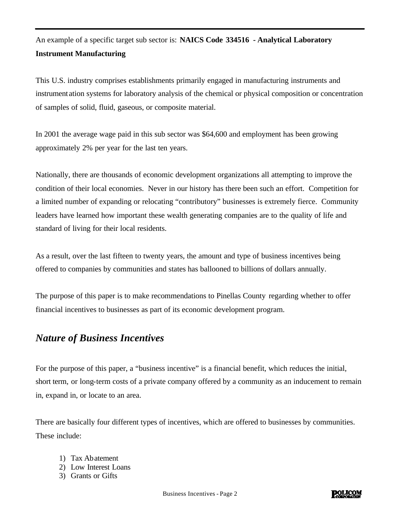### An example of a specific target sub sector is: **NAICS Code 334516 - Analytical Laboratory Instrument Manufacturing**

This U.S. industry comprises establishments primarily engaged in manufacturing instruments and instrumentation systems for laboratory analysis of the chemical or physical composition or concentration of samples of solid, fluid, gaseous, or composite material.

In 2001 the average wage paid in this sub sector was \$64,600 and employment has been growing approximately 2% per year for the last ten years.

Nationally, there are thousands of economic development organizations all attempting to improve the condition of their local economies. Never in our history has there been such an effort. Competition for a limited number of expanding or relocating "contributory" businesses is extremely fierce. Community leaders have learned how important these wealth generating companies are to the quality of life and standard of living for their local residents.

As a result, over the last fifteen to twenty years, the amount and type of business incentives being offered to companies by communities and states has ballooned to billions of dollars annually.

The purpose of this paper is to make recommendations to Pinellas County regarding whether to offer financial incentives to businesses as part of its economic development program.

#### *Nature of Business Incentives*

For the purpose of this paper, a "business incentive" is a financial benefit, which reduces the initial, short term, or long-term costs of a private company offered by a community as an inducement to remain in, expand in, or locate to an area.

There are basically four different types of incentives, which are offered to businesses by communities. These include:

- 1) Tax Abatement
- 2) Low Interest Loans
- 3) Grants or Gifts

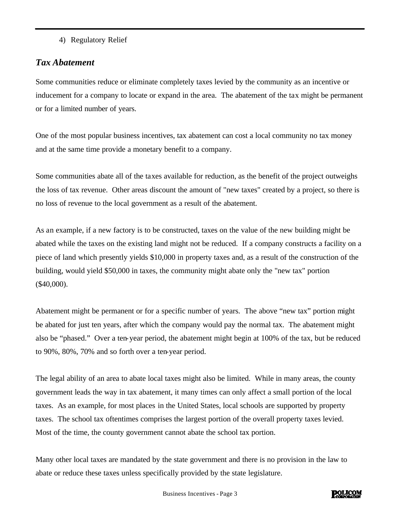4) Regulatory Relief

#### *Tax Abatement*

Some communities reduce or eliminate completely taxes levied by the community as an incentive or inducement for a company to locate or expand in the area. The abatement of the tax might be permanent or for a limited number of years.

One of the most popular business incentives, tax abatement can cost a local community no tax money and at the same time provide a monetary benefit to a company.

Some communities abate all of the taxes available for reduction, as the benefit of the project outweighs the loss of tax revenue. Other areas discount the amount of "new taxes" created by a project, so there is no loss of revenue to the local government as a result of the abatement.

As an example, if a new factory is to be constructed, taxes on the value of the new building might be abated while the taxes on the existing land might not be reduced. If a company constructs a facility on a piece of land which presently yields \$10,000 in property taxes and, as a result of the construction of the building, would yield \$50,000 in taxes, the community might abate only the "new tax" portion (\$40,000).

Abatement might be permanent or for a specific number of years. The above "new tax" portion might be abated for just ten years, after which the company would pay the normal tax. The abatement might also be "phased." Over a ten-year period, the abatement might begin at 100% of the tax, but be reduced to 90%, 80%, 70% and so forth over a ten-year period.

The legal ability of an area to abate local taxes might also be limited. While in many areas, the county government leads the way in tax abatement, it many times can only affect a small portion of the local taxes. As an example, for most places in the United States, local schools are supported by property taxes. The school tax oftentimes comprises the largest portion of the overall property taxes levied. Most of the time, the county government cannot abate the school tax portion.

Many other local taxes are mandated by the state government and there is no provision in the law to abate or reduce these taxes unless specifically provided by the state legislature.

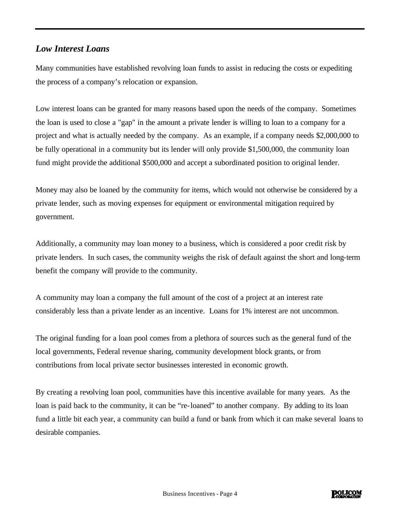#### *Low Interest Loans*

Many communities have established revolving loan funds to assist in reducing the costs or expediting the process of a company's relocation or expansion.

Low interest loans can be granted for many reasons based upon the needs of the company. Sometimes the loan is used to close a "gap" in the amount a private lender is willing to loan to a company for a project and what is actually needed by the company. As an example, if a company needs \$2,000,000 to be fully operational in a community but its lender will only provide \$1,500,000, the community loan fund might provide the additional \$500,000 and accept a subordinated position to original lender.

Money may also be loaned by the community for items, which would not otherwise be considered by a private lender, such as moving expenses for equipment or environmental mitigation required by government.

Additionally, a community may loan money to a business, which is considered a poor credit risk by private lenders. In such cases, the community weighs the risk of default against the short and long-term benefit the company will provide to the community.

A community may loan a company the full amount of the cost of a project at an interest rate considerably less than a private lender as an incentive. Loans for 1% interest are not uncommon.

The original funding for a loan pool comes from a plethora of sources such as the general fund of the local governments, Federal revenue sharing, community development block grants, or from contributions from local private sector businesses interested in economic growth.

By creating a revolving loan pool, communities have this incentive available for many years. As the loan is paid back to the community, it can be "re-loaned" to another company. By adding to its loan fund a little bit each year, a community can build a fund or bank from which it can make several loans to desirable companies.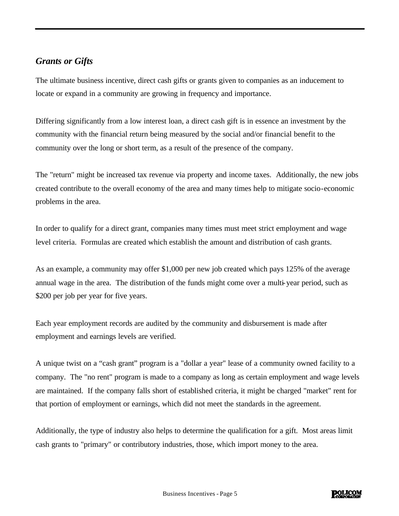#### *Grants or Gifts*

The ultimate business incentive, direct cash gifts or grants given to companies as an inducement to locate or expand in a community are growing in frequency and importance.

Differing significantly from a low interest loan, a direct cash gift is in essence an investment by the community with the financial return being measured by the social and/or financial benefit to the community over the long or short term, as a result of the presence of the company.

The "return" might be increased tax revenue via property and income taxes. Additionally, the new jobs created contribute to the overall economy of the area and many times help to mitigate socio-economic problems in the area.

In order to qualify for a direct grant, companies many times must meet strict employment and wage level criteria. Formulas are created which establish the amount and distribution of cash grants.

As an example, a community may offer \$1,000 per new job created which pays 125% of the average annual wage in the area. The distribution of the funds might come over a multi-year period, such as \$200 per job per year for five years.

Each year employment records are audited by the community and disbursement is made after employment and earnings levels are verified.

A unique twist on a "cash grant" program is a "dollar a year" lease of a community owned facility to a company. The "no rent" program is made to a company as long as certain employment and wage levels are maintained. If the company falls short of established criteria, it might be charged "market" rent for that portion of employment or earnings, which did not meet the standards in the agreement.

Additionally, the type of industry also helps to determine the qualification for a gift. Most areas limit cash grants to "primary" or contributory industries, those, which import money to the area.

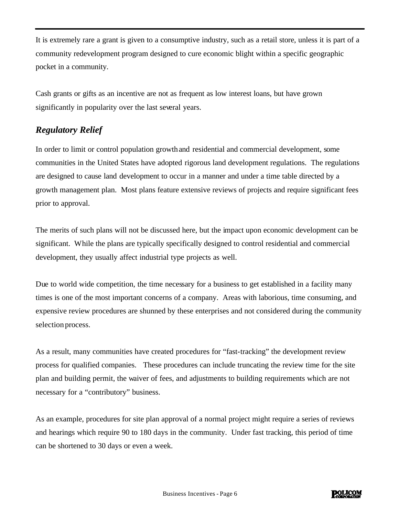It is extremely rare a grant is given to a consumptive industry, such as a retail store, unless it is part of a community redevelopment program designed to cure economic blight within a specific geographic pocket in a community.

Cash grants or gifts as an incentive are not as frequent as low interest loans, but have grown significantly in popularity over the last several years.

#### *Regulatory Relief*

In order to limit or control population growth and residential and commercial development, some communities in the United States have adopted rigorous land development regulations. The regulations are designed to cause land development to occur in a manner and under a time table directed by a growth management plan. Most plans feature extensive reviews of projects and require significant fees prior to approval.

The merits of such plans will not be discussed here, but the impact upon economic development can be significant. While the plans are typically specifically designed to control residential and commercial development, they usually affect industrial type projects as well.

Due to world wide competition, the time necessary for a business to get established in a facility many times is one of the most important concerns of a company. Areas with laborious, time consuming, and expensive review procedures are shunned by these enterprises and not considered during the community selection process.

As a result, many communities have created procedures for "fast-tracking" the development review process for qualified companies. These procedures can include truncating the review time for the site plan and building permit, the waiver of fees, and adjustments to building requirements which are not necessary for a "contributory" business.

As an example, procedures for site plan approval of a normal project might require a series of reviews and hearings which require 90 to 180 days in the community. Under fast tracking, this period of time can be shortened to 30 days or even a week.

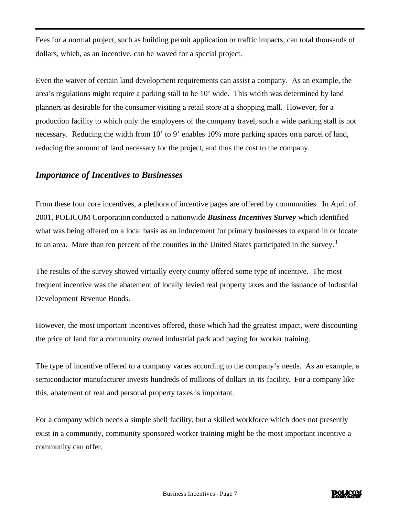Fees for a normal project, such as building permit application or traffic impacts, can total thousands of dollars, which, as an incentive, can be waved for a special project.

Even the waiver of certain land development requirements can assist a company. As an example, the area's regulations might require a parking stall to be 10' wide. This width was determined by land planners as desirable for the consumer visiting a retail store at a shopping mall. However, for a production facility to which only the employees of the company travel, such a wide parking stall is not necessary. Reducing the width from 10' to 9' enables 10% more parking spaces on a parcel of land, reducing the amount of land necessary for the project, and thus the cost to the company.

#### *Importance of Incentives to Businesses*

From these four core incentives, a plethora of incentive pages are offered by communities. In April of 2001, POLICOM Corporation conducted a nationwide *Business Incentives Survey* which identified what was being offered on a local basis as an inducement for primary businesses to expand in or locate to an area. More than ten percent of the counties in the United States participated in the survey.<sup>1</sup>

The results of the survey showed virtually every county offered some type of incentive. The most frequent incentive was the abatement of locally levied real property taxes and the issuance of Industrial Development Revenue Bonds.

However, the most important incentives offered, those which had the greatest impact, were discounting the price of land for a community owned industrial park and paying for worker training.

The type of incentive offered to a company varies according to the company's needs. As an example, a semiconductor manufacturer invests hundreds of millions of dollars in its facility. For a company like this, abatement of real and personal property taxes is important.

For a company which needs a simple shell facility, but a skilled workforce which does not presently exist in a community, community sponsored worker training might be the most important incentive a community can offer.

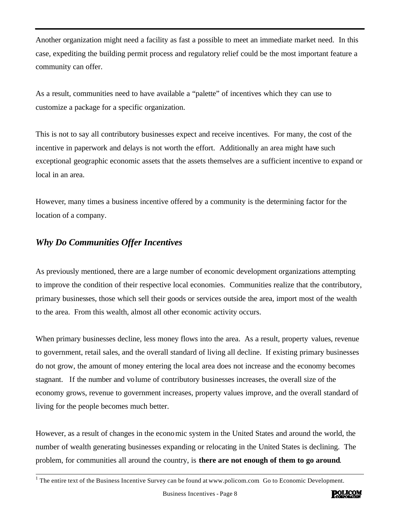Another organization might need a facility as fast a possible to meet an immediate market need. In this case, expediting the building permit process and regulatory relief could be the most important feature a community can offer.

As a result, communities need to have available a "palette" of incentives which they can use to customize a package for a specific organization.

This is not to say all contributory businesses expect and receive incentives. For many, the cost of the incentive in paperwork and delays is not worth the effort. Additionally an area might have such exceptional geographic economic assets that the assets themselves are a sufficient incentive to expand or local in an area.

However, many times a business incentive offered by a community is the determining factor for the location of a company.

#### *Why Do Communities Offer Incentives*

As previously mentioned, there are a large number of economic development organizations attempting to improve the condition of their respective local economies. Communities realize that the contributory, primary businesses, those which sell their goods or services outside the area, import most of the wealth to the area. From this wealth, almost all other economic activity occurs.

When primary businesses decline, less money flows into the area. As a result, property values, revenue to government, retail sales, and the overall standard of living all decline. If existing primary businesses do not grow, the amount of money entering the local area does not increase and the economy becomes stagnant. If the number and volume of contributory businesses increases, the overall size of the economy grows, revenue to government increases, property values improve, and the overall standard of living for the people becomes much better.

However, as a result of changes in the economic system in the United States and around the world, the number of wealth generating businesses expanding or relocating in the United States is declining. The problem, for communities all around the country, is **there are not enough of them to go around**.



<sup>&</sup>lt;sup>1</sup> The entire text of the Business Incentive Survey can be found at www.policom.com Go to Economic Development.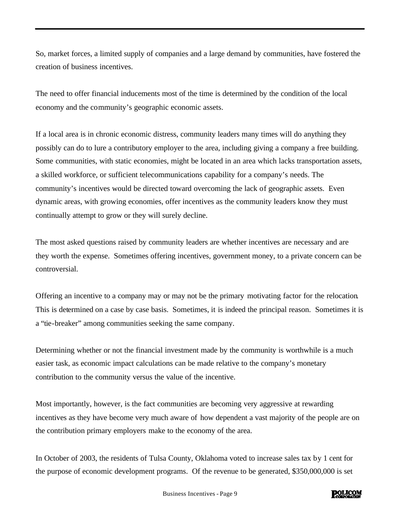So, market forces, a limited supply of companies and a large demand by communities, have fostered the creation of business incentives.

The need to offer financial inducements most of the time is determined by the condition of the local economy and the community's geographic economic assets.

If a local area is in chronic economic distress, community leaders many times will do anything they possibly can do to lure a contributory employer to the area, including giving a company a free building. Some communities, with static economies, might be located in an area which lacks transportation assets, a skilled workforce, or sufficient telecommunications capability for a company's needs. The community's incentives would be directed toward overcoming the lack of geographic assets. Even dynamic areas, with growing economies, offer incentives as the community leaders know they must continually attempt to grow or they will surely decline.

The most asked questions raised by community leaders are whether incentives are necessary and are they worth the expense. Sometimes offering incentives, government money, to a private concern can be controversial.

Offering an incentive to a company may or may not be the primary motivating factor for the relocation. This is determined on a case by case basis. Sometimes, it is indeed the principal reason. Sometimes it is a "tie-breaker" among communities seeking the same company.

Determining whether or not the financial investment made by the community is worthwhile is a much easier task, as economic impact calculations can be made relative to the company's monetary contribution to the community versus the value of the incentive.

Most importantly, however, is the fact communities are becoming very aggressive at rewarding incentives as they have become very much aware of how dependent a vast majority of the people are on the contribution primary employers make to the economy of the area.

In October of 2003, the residents of Tulsa County, Oklahoma voted to increase sales tax by 1 cent for the purpose of economic development programs. Of the revenue to be generated, \$350,000,000 is set

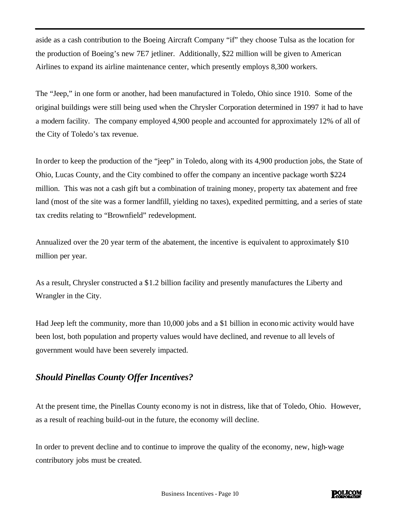aside as a cash contribution to the Boeing Aircraft Company "if" they choose Tulsa as the location for the production of Boeing's new 7E7 jetliner. Additionally, \$22 million will be given to American Airlines to expand its airline maintenance center, which presently employs 8,300 workers.

The "Jeep," in one form or another, had been manufactured in Toledo, Ohio since 1910. Some of the original buildings were still being used when the Chrysler Corporation determined in 1997 it had to have a modern facility. The company employed 4,900 people and accounted for approximately 12% of all of the City of Toledo's tax revenue.

In order to keep the production of the "jeep" in Toledo, along with its 4,900 production jobs, the State of Ohio, Lucas County, and the City combined to offer the company an incentive package worth \$224 million. This was not a cash gift but a combination of training money, property tax abatement and free land (most of the site was a former landfill, yielding no taxes), expedited permitting, and a series of state tax credits relating to "Brownfield" redevelopment.

Annualized over the 20 year term of the abatement, the incentive is equivalent to approximately \$10 million per year.

As a result, Chrysler constructed a \$1.2 billion facility and presently manufactures the Liberty and Wrangler in the City.

Had Jeep left the community, more than 10,000 jobs and a \$1 billion in economic activity would have been lost, both population and property values would have declined, and revenue to all levels of government would have been severely impacted.

#### *Should Pinellas County Offer Incentives?*

At the present time, the Pinellas County economy is not in distress, like that of Toledo, Ohio. However, as a result of reaching build-out in the future, the economy will decline.

In order to prevent decline and to continue to improve the quality of the economy, new, high-wage contributory jobs must be created.

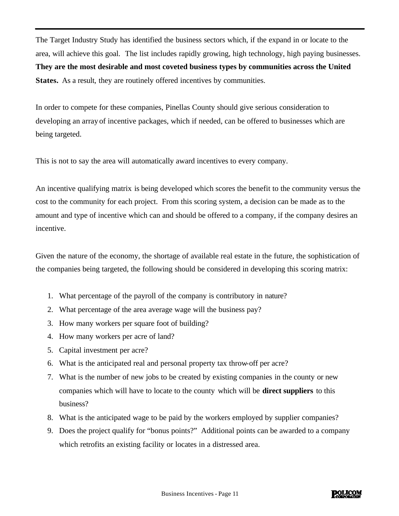The Target Industry Study has identified the business sectors which, if the expand in or locate to the area, will achieve this goal. The list includes rapidly growing, high technology, high paying businesses. **They are the most desirable and most coveted business types by communities across the United States.** As a result, they are routinely offered incentives by communities.

In order to compete for these companies, Pinellas County should give serious consideration to developing an array of incentive packages, which if needed, can be offered to businesses which are being targeted.

This is not to say the area will automatically award incentives to every company.

An incentive qualifying matrix is being developed which scores the benefit to the community versus the cost to the community for each project. From this scoring system, a decision can be made as to the amount and type of incentive which can and should be offered to a company, if the company desires an incentive.

Given the nature of the economy, the shortage of available real estate in the future, the sophistication of the companies being targeted, the following should be considered in developing this scoring matrix:

- 1. What percentage of the payroll of the company is contributory in nature?
- 2. What percentage of the area average wage will the business pay?
- 3. How many workers per square foot of building?
- 4. How many workers per acre of land?
- 5. Capital investment per acre?
- 6. What is the anticipated real and personal property tax throw-off per acre?
- 7. What is the number of new jobs to be created by existing companies in the county or new companies which will have to locate to the county which will be **direct suppliers** to this business?
- 8. What is the anticipated wage to be paid by the workers employed by supplier companies?
- 9. Does the project qualify for "bonus points?" Additional points can be awarded to a company which retrofits an existing facility or locates in a distressed area.